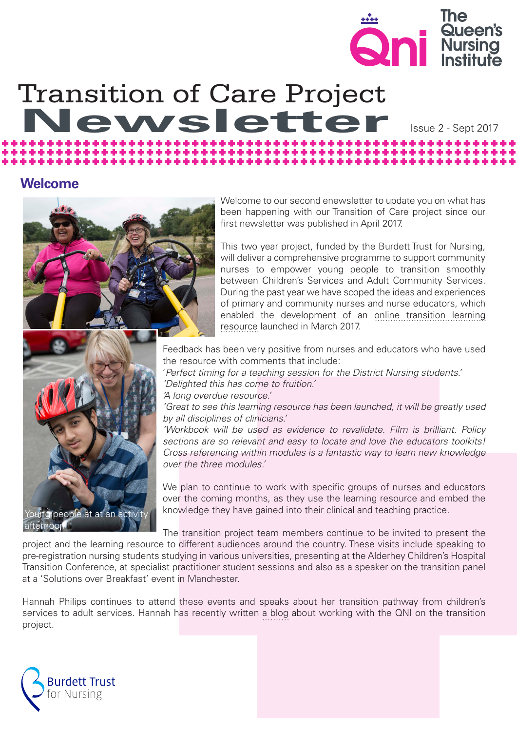

Issue 2 - Sept 2017

# Transition of Care Project<br>Newsletter

# **Welcome**





Welcome to our second enewsletter to update you on what has been happening with our Transition of Care project since our first newsletter was published in April 2017.

This two year project, funded by the Burdett Trust for Nursing, will deliver a comprehensive programme to support community nurses to empower young people to transition smoothly between Children's Services and Adult Community Services. During the past year we have scoped the ideas and experiences of primary and community nurses and nurse educators, which enabled the development of an [online transition learning](https://www.qni.org.uk/child_to_adult/index.html) [resource](https://www.qni.org.uk/child_to_adult/index.html) launched in March 2017.

Feedback has been very positive from nurses and educators who have used the resource with comments that include:

'*Perfect timing for a teaching session for the District Nursing students.'*

*'Delighted this has come to fruition.'*

*'A long overdue resource.'*

*'Great to see this learning resource has been launched, it will be greatly used by all disciplines of clinicians.'*

*'Workbook will be used as evidence to revalidate. Film is brilliant. Policy sections are so relevant and easy to locate and love the educators toolkits! Cross referencing within modules is a fantastic way to learn new knowledge over the three modules.'*

We plan to continue to work with specific groups of nurses and educators over the coming months, as they use the learning resource and embed the knowledge they have gained into their clinical and teaching practice.

The transition project team members continue to be invited to present the project and the learning resource to different audiences around the country. These visits include speaking to pre-registration nursing students studying in various universities, presenting at the Alderhey Children's Hospital Transition Conference, at specialist practitioner student sessions and also as a speaker on the transition panel at a 'Solutions over Breakfast' event in Manchester.

Hannah Philips continues to attend these events and speaks about her transition pathway from children's services to adult services. Hannah has recently written [a blog](https://www.qni.org.uk/2017/09/08/appreciation/) about working with the QNI on the transition project.

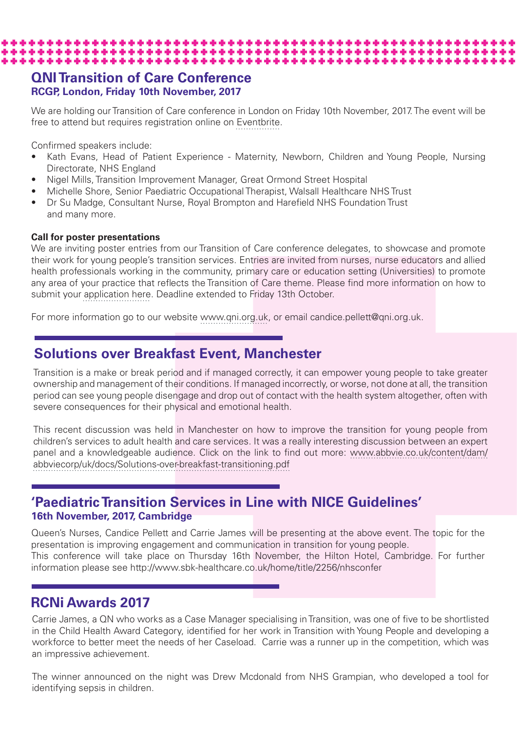## **QNI Transition of Care Conference RCGP, London, Friday 10th November, 2017**

We are holding our Transition of Care conference in London on Friday 10th November, 2017. The event will be free to attend but requires registration online on [Eventbrite.](https://www.eventbrite.co.uk/e/qni-transition-of-care-conference-2017-tickets-36348956708) 

Confirmed speakers include:

- Kath Evans, Head of Patient Experience Maternity, Newborn, Children and Young People, Nursing Directorate, NHS England
- Nigel Mills, Transition Improvement Manager, Great Ormond Street Hospital

\*\*\*\*\*\*\*\*\*\*\*\*\*\*\*\*\*\*\*\*\*\*\*\*\*\*\*\*\*\*\*\*\*\*\*\*\*

• Michelle Shore, Senior Paediatric Occupational Therapist, Walsall Healthcare NHS Trust

Dr Su Madge, Consultant Nurse, Royal Brompton and Harefield NHS Foundation Trust and many more.

#### **Call for poster presentations**

We are inviting poster entries from our Transition of Care conference delegates, to showcase and promote their work for young people's transition services. Entries are invited from nurses, nurse educators and allied health professionals working in the community, primary care or education setting (Universities) to promote any area of your practice that reflects the Transition of Care theme. Please find more information on how to submit your [application here.](https://www.qni.org.uk/news-and-events/events/transition-care-conference/) Deadline extended to Friday 13th October.

For more information go to our website [www.qni.org.uk,](https://www.qni.org.uk/news-and-events/events/transition-care-conference/) or email candice.pellett@qni.org.uk.

# **Solutions over Breakfast Event, Manchester**

Transition is a make or break period and if managed correctly, it can empower young people to take greater ownership and management of their conditions. If managed incorrectly, or worse, not done at all, the transition period can see young people disengage and drop out of contact with the health system altogether, often with severe consequences for their physical and emotional health.

This recent discussion was held in Manchester on how to improve the transition for young people from children's services to adult health and care services. It was a really interesting discussion between an expert panel and a knowledgeable audience. Click on the link to find out more: [www.abbvie.co.uk/content/dam/](http://www.abbvie.co.uk/content/dam/abbviecorp/uk/docs/Solutions-over-breakfast-transitioning.pdf) [abbviecorp/uk/docs/Solutions-over-breakfast-transitioning.pdf](http://www.abbvie.co.uk/content/dam/abbviecorp/uk/docs/Solutions-over-breakfast-transitioning.pdf) 

## **'Paediatric Transition Services in Line with NICE Guidelines' 16th November, 2017, Cambridge**

Queen's Nurses, Candice Pellett and Carrie James will be presenting at the above event. The topic for the presentation is improving engagement and communication in transition for young people. This conference will take place on Thursday 16th November, the Hilton Hotel, Cambridge. For further information please see http://www.sbk-healthcare.co.uk/home/title/2256/nhsconfer

# **RCNi Awards 2017**

Carrie James, a QN who works as a Case Manager specialising in Transition, was one of five to be shortlisted in the Child Health Award Category, identified for her work in Transition with Young People and developing a workforce to better meet the needs of her Caseload. Carrie was a runner up in the competition, which was an impressive achievement.

The winner announced on the night was Drew Mcdonald from NHS Grampian, who developed a tool for identifying sepsis in children.